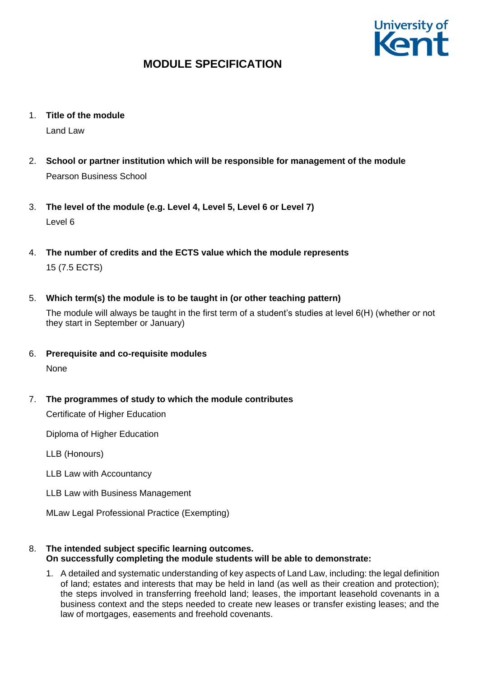

- 1. **Title of the module** Land Law
- 2. **School or partner institution which will be responsible for management of the module** Pearson Business School
- 3. **The level of the module (e.g. Level 4, Level 5, Level 6 or Level 7)** Level 6
- 4. **The number of credits and the ECTS value which the module represents**  15 (7.5 ECTS)
- 5. **Which term(s) the module is to be taught in (or other teaching pattern)**

The module will always be taught in the first term of a student's studies at level 6(H) (whether or not they start in September or January)

- 6. **Prerequisite and co-requisite modules**
	- None
- 7. **The programmes of study to which the module contributes**

Certificate of Higher Education

Diploma of Higher Education

LLB (Honours)

- LLB Law with Accountancy
- LLB Law with Business Management

MLaw Legal Professional Practice (Exempting)

- 8. **The intended subject specific learning outcomes. On successfully completing the module students will be able to demonstrate:**
	- 1. A detailed and systematic understanding of key aspects of Land Law, including: the legal definition of land; estates and interests that may be held in land (as well as their creation and protection); the steps involved in transferring freehold land; leases, the important leasehold covenants in a business context and the steps needed to create new leases or transfer existing leases; and the law of mortgages, easements and freehold covenants.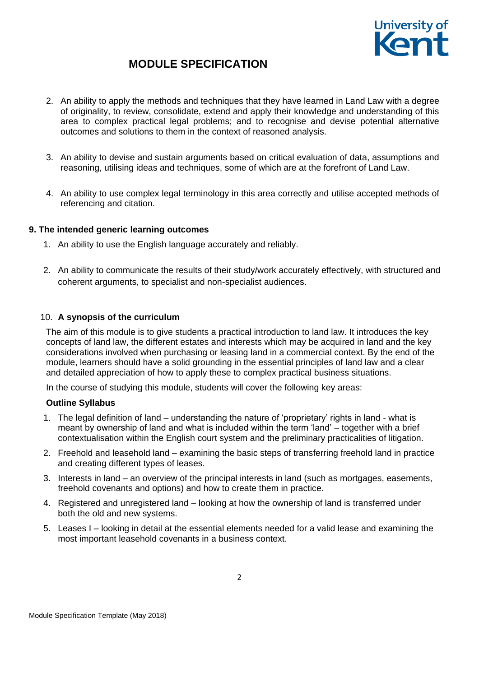

- 2. An ability to apply the methods and techniques that they have learned in Land Law with a degree of originality, to review, consolidate, extend and apply their knowledge and understanding of this area to complex practical legal problems; and to recognise and devise potential alternative outcomes and solutions to them in the context of reasoned analysis.
- 3. An ability to devise and sustain arguments based on critical evaluation of data, assumptions and reasoning, utilising ideas and techniques, some of which are at the forefront of Land Law.
- 4. An ability to use complex legal terminology in this area correctly and utilise accepted methods of referencing and citation.

### **9. The intended generic learning outcomes**

- 1. An ability to use the English language accurately and reliably.
- 2. An ability to communicate the results of their study/work accurately effectively, with structured and coherent arguments, to specialist and non-specialist audiences.

### 10. **A synopsis of the curriculum**

The aim of this module is to give students a practical introduction to land law. It introduces the key concepts of land law, the different estates and interests which may be acquired in land and the key considerations involved when purchasing or leasing land in a commercial context. By the end of the module, learners should have a solid grounding in the essential principles of land law and a clear and detailed appreciation of how to apply these to complex practical business situations.

In the course of studying this module, students will cover the following key areas:

#### **Outline Syllabus**

- 1. The legal definition of land understanding the nature of 'proprietary' rights in land what is meant by ownership of land and what is included within the term 'land' – together with a brief contextualisation within the English court system and the preliminary practicalities of litigation.
- 2. Freehold and leasehold land examining the basic steps of transferring freehold land in practice and creating different types of leases.
- 3. Interests in land an overview of the principal interests in land (such as mortgages, easements, freehold covenants and options) and how to create them in practice.
- 4. Registered and unregistered land looking at how the ownership of land is transferred under both the old and new systems.
- 5. Leases I looking in detail at the essential elements needed for a valid lease and examining the most important leasehold covenants in a business context.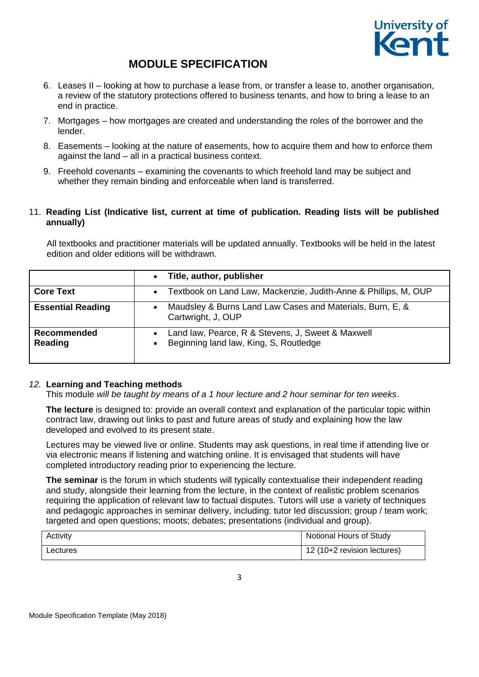

- 6. Leases II looking at how to purchase a lease from, or transfer a lease to, another organisation, a review of the statutory protections offered to business tenants, and how to bring a lease to an end in practice.
- 7. Mortgages how mortgages are created and understanding the roles of the borrower and the lender.
- 8. Easements looking at the nature of easements, how to acquire them and how to enforce them against the land – all in a practical business context.
- 9. Freehold covenants examining the covenants to which freehold land may be subject and whether they remain binding and enforceable when land is transferred.

## 11. **Reading List (Indicative list, current at time of publication. Reading lists will be published annually)**

All textbooks and practitioner materials will be updated annually. Textbooks will be held in the latest edition and older editions will be withdrawn.

|                               | Title, author, publisher<br>$\bullet$                                                                    |  |
|-------------------------------|----------------------------------------------------------------------------------------------------------|--|
| <b>Core Text</b>              | Textbook on Land Law, Mackenzie, Judith-Anne & Phillips, M, OUP<br>$\bullet$                             |  |
| <b>Essential Reading</b>      | Maudsley & Burns Land Law Cases and Materials, Burn, E, &<br>Cartwright, J, OUP                          |  |
| <b>Recommended</b><br>Reading | Land law, Pearce, R & Stevens, J, Sweet & Maxwell<br>Beginning land law, King, S, Routledge<br>$\bullet$ |  |

#### *12.* **Learning and Teaching methods**

This module *will be taught by means of a 1 hour lecture and 2 hour seminar for ten weeks*.

**The lecture** is designed to: provide an overall context and explanation of the particular topic within contract law, drawing out links to past and future areas of study and explaining how the law developed and evolved to its present state.

Lectures may be viewed live or online. Students may ask questions, in real time if attending live or via electronic means if listening and watching online. It is envisaged that students will have completed introductory reading prior to experiencing the lecture.

**The seminar** is the forum in which students will typically contextualise their independent reading and study, alongside their learning from the lecture, in the context of realistic problem scenarios requiring the application of relevant law to factual disputes. Tutors will use a variety of techniques and pedagogic approaches in seminar delivery, including: tutor led discussion; group / team work; targeted and open questions; moots; debates; presentations (individual and group).

| Activity | Notional Hours of Study     |
|----------|-----------------------------|
| Lectures | 12 (10+2 revision lectures) |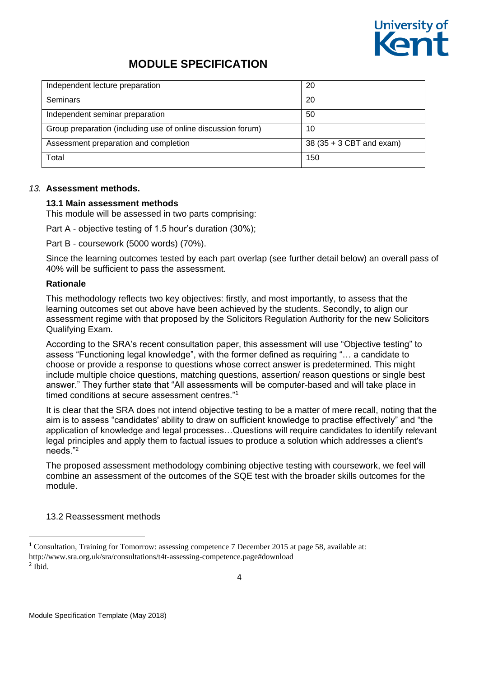

| Independent lecture preparation                              | 20                       |
|--------------------------------------------------------------|--------------------------|
| Seminars                                                     | 20                       |
| Independent seminar preparation                              | 50                       |
| Group preparation (including use of online discussion forum) | 10                       |
| Assessment preparation and completion                        | 38 (35 + 3 CBT and exam) |
| Total                                                        | 150                      |

#### *13.* **Assessment methods.**

### **13.1 Main assessment methods**

This module will be assessed in two parts comprising:

Part A - objective testing of 1.5 hour's duration (30%);

Part B - coursework (5000 words) (70%).

Since the learning outcomes tested by each part overlap (see further detail below) an overall pass of 40% will be sufficient to pass the assessment.

### **Rationale**

This methodology reflects two key objectives: firstly, and most importantly, to assess that the learning outcomes set out above have been achieved by the students. Secondly, to align our assessment regime with that proposed by the Solicitors Regulation Authority for the new Solicitors Qualifying Exam.

According to the SRA's recent consultation paper, this assessment will use "Objective testing" to assess "Functioning legal knowledge", with the former defined as requiring "… a candidate to choose or provide a response to questions whose correct answer is predetermined. This might include multiple choice questions, matching questions, assertion/ reason questions or single best answer." They further state that "All assessments will be computer-based and will take place in timed conditions at secure assessment centres."<sup>1</sup>

It is clear that the SRA does not intend objective testing to be a matter of mere recall, noting that the aim is to assess "candidates' ability to draw on sufficient knowledge to practise effectively" and "the application of knowledge and legal processes…Questions will require candidates to identify relevant legal principles and apply them to factual issues to produce a solution which addresses a client's needs."<sup>2</sup>

The proposed assessment methodology combining objective testing with coursework, we feel will combine an assessment of the outcomes of the SQE test with the broader skills outcomes for the module.

13.2 Reassessment methods

**.** 

<sup>&</sup>lt;sup>1</sup> Consultation, Training for Tomorrow: assessing competence 7 December 2015 at page 58, available at: http://www.sra.org.uk/sra/consultations/t4t-assessing-competence.page#download 2 Ibid.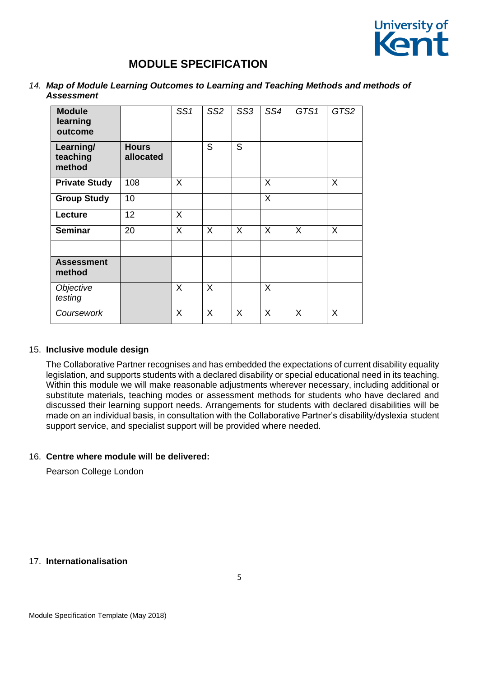

*14. Map of Module Learning Outcomes to Learning and Teaching Methods and methods of Assessment* 

| <b>Module</b><br>learning<br>outcome |                           | SS1 | SS <sub>2</sub> | SS <sub>3</sub> | SS4 | GTS1    | GTS2 |
|--------------------------------------|---------------------------|-----|-----------------|-----------------|-----|---------|------|
| Learning/<br>teaching<br>method      | <b>Hours</b><br>allocated |     | S               | S.              |     |         |      |
| <b>Private Study</b>                 | 108                       | X   |                 |                 | X   |         | X    |
| <b>Group Study</b>                   | 10                        |     |                 |                 | X   |         |      |
| Lecture                              | 12                        | X   |                 |                 |     |         |      |
| <b>Seminar</b>                       | 20                        | X   | X               | $\sf X$         | X   | $\sf X$ | X    |
|                                      |                           |     |                 |                 |     |         |      |
| <b>Assessment</b><br>method          |                           |     |                 |                 |     |         |      |
| Objective<br>testing                 |                           | X   | X               |                 | X   |         |      |
| Coursework                           |                           | X   | X               | X               | X   | X       | X    |

#### 15. **Inclusive module design**

The Collaborative Partner recognises and has embedded the expectations of current disability equality legislation, and supports students with a declared disability or special educational need in its teaching. Within this module we will make reasonable adjustments wherever necessary, including additional or substitute materials, teaching modes or assessment methods for students who have declared and discussed their learning support needs. Arrangements for students with declared disabilities will be made on an individual basis, in consultation with the Collaborative Partner's disability/dyslexia student support service, and specialist support will be provided where needed.

#### 16. **Centre where module will be delivered:**

Pearson College London

## 17. **Internationalisation**